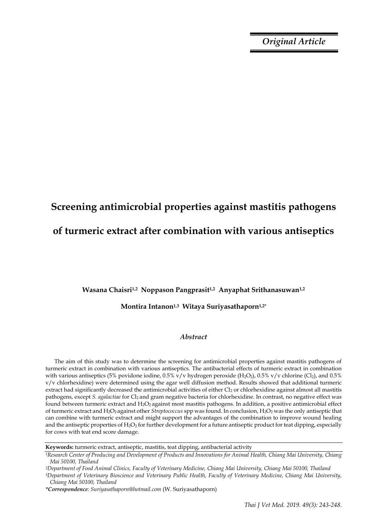*Original Article*

# **Screening antimicrobial properties against mastitis pathogens of turmeric extract after combination with various antiseptics**

**Wasana Chaisri1,2 Noppason Pangprasit1,2 Anyaphat Srithanasuwan1,2** 

# **Montira Intanon1,3 Witaya Suriyasathaporn1,2\***

# *Abstract*

The aim of this study was to determine the screening for antimicrobial properties against mastitis pathogens of turmeric extract in combination with various antiseptics. The antibacterial effects of turmeric extract in combination with various antiseptics (5% povidone iodine, 0.5%  $\bar{v}/v$  hydrogen peroxide (H<sub>2</sub>O<sub>2</sub>), 0.5%  $v/v$  chlorine (Cl<sub>2</sub>), and 0.5% v/v chlorhexidine) were determined using the agar well diffusion method. Results showed that additional turmeric extract had significantly decreased the antimicrobial activities of either  $Cl<sub>2</sub>$  or chlorhexidine against almost all mastitis pathogens, except *S. agalactiae* for Cl<sub>2</sub> and gram negative bacteria for chlorhexidine. In contrast, no negative effect was found between turmeric extract and  $H_2O_2$  against most mastitis pathogens. In addition, a positive antimicrobial effect of turmeric extract and H2O2 against other *Streptococcus* spp was found. In conclusion, H2O<sup>2</sup> was the only antiseptic that can combine with turmeric extract and might support the advantages of the combination to improve wound healing and the antiseptic properties of  $H_2O_2$  for further development for a future antiseptic product for teat dipping, especially for cows with teat end score damage.

**Keywords:** turmeric extract, antiseptic, mastitis, teat dipping, antibacterial activity

*<sup>1</sup>Research Center of Producing and Development of Products and Innovations for Animal Health, Chiang Mai University, Chiang Mai 50100, Thailand*

*<sup>2</sup>Department of Food Animal Clinics, Faculty of Veterinary Medicine, Chiang Mai University, Chiang Mai 50100, Thailand*

*<sup>3</sup>Department of Veterinary Bioscience and Veterinary Public Health, Faculty of Veterinary Medicine, Chiang Mai University, Chiang Mai 50100, Thailand*

*\*Correspondence: Suriyasathaporn@hotmail.com* (W. Suriyasathaporn)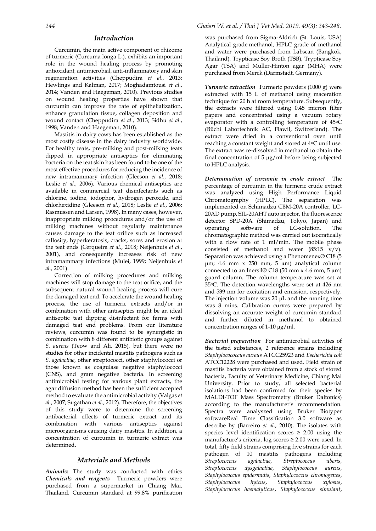### *Introduction*

Curcumin, the main active component or rhizome of turmeric (Curcuma longa L.), exhibits an important role in the wound healing process by promoting antioxidant, antimicrobial, anti-inflammatory and skin regeneration activities (Cheppudira *et al.*, 2013; Hewlings and Kalman, 2017; Moghadamtousi *et al.*, 2014; Vanden and Haegeman, 2010). Previous studies on wound healing properties have shown that curcumin can improve the rate of epithelialization, enhance granulation tissue, collagen deposition and wound contact (Cheppudira *et al.*, 2013; Sidhu *et al.*, 1998; Vanden and Haegeman, 2010).

Mastitis in dairy cows has been established as the most costly disease in the dairy industry worldwide. For healthy teats, pre-milking and post-milking teats dipped in appropriate antiseptics for eliminating bacteria on the teat skin has been found to be one of the most effective procedures for reducing the incidence of new intramammary infection (Gleeson *et al.*, 2018; Leslie *et al.*, 2006). Various chemical antiseptics are available in commercial teat disinfectants such as chlorine, iodine, iodophor, hydrogen peroxide, and chlorhexidine (Gleeson *et al.*, 2018; Leslie *et al.*, 2006; Rasmussen and Larsen, 1998). In many cases, however, inappropriate milking procedures and/or the use of milking machines without regularly maintenance causes damage to the teat orifice such as increased callosity, hyperkeratosis, cracks, sores and erosion at the teat ends (Cerqueira *et al.*, 2018; Neijenhuis *et al.*, 2001), and consequently increases risk of new intramammary infections (Mulei, 1999; Neijenhuis *et al.*, 2001).

Correction of milking procedures and milking machines will stop damage to the teat orifice, and the subsequent natural wound healing process will cure the damaged teat end. To accelerate the wound healing process, the use of turmeric extracts and/or in combination with other antiseptics might be an ideal antiseptic teat dipping disinfectant for farms with damaged teat end problems. From our literature reviews, curcumin was found to be synergistic in combination with 8 different antibiotic groups against *S. aureus* (Teow and Ali, 2015)*,* but there were no studies for other incidental mastitis pathogens such as *S. agalactiae*, other streptococci, other staphylococci or those known as coagulase negative staphylococci (CNS), and gram negative bacteria. In screening antimicrobial testing for various plant extracts, the agar diffusion method has been the sufficient accepted method to evaluate the antimicrobial activity (Valgas *et al.*, 2007; Sugathan *et al.*, 2012). Therefore, the objectives of this study were to determine the screening antibacterial effects of turmeric extract and its combination with various antiseptics against microorganisms causing dairy mastitis. In addition, a concentration of curcumin in turmeric extract was determined.

## *Materials and Methods*

*Animals:* The study was conducted with ethics *Chemicals and reagents* Turmeric powders were purchased from a supermarket in Chiang Mai, Thailand. Curcumin standard at 99.8% purification was purchased from Sigma-Aldrich (St. Louis, USA) Analytical grade methanol, HPLC grade of methanol and water were purchased from Labscan (Bangkok, Thailand). Trypticase Soy Broth (TSB), Trypticase Soy Agar (TSA) and Muller-Hinton agar (MHA) were purchased from Merck (Darmstadt, Germany).

*Turmeric extraction*Turmeric powders (1000 g) were extracted with 15 L of methanol using maceration technique for 20 h at room temperature. Subsequently, the extracts were filtered using 0.45 micron filter papers and concentrated using a vacuum rotary evaporator with a controlling temperature of 45oC (Büchi Labortechnik AC, Flawil, Switzerland). The extract were dried in a conventional oven until reaching a constant weight and stored at 4oC until use. The extract was re-dissolved in methanol to obtain the final concentration of 5 µg/ml before being subjected to HPLC analysis.

*Determination of curcumin in crude extract*The percentage of curcumin in the turmeric crude extract was analyzed using High Performance Liquid Chromatography (HPLC). The separation was implemented on Schimadzu CBM-20A controller, LC-20AD pump, SIL-20AHT auto injector, the fluorescence detector SPD-20A (Shimadzu, Tokyo, Japan) and operating software of LC-solution. The chromatographic method was carried out isocratically with a flow rate of 1 ml/min. The mobile phase consisted of methanol and water (85:15 v/v). Separation was achieved using a Phenomenex® C18 (5 μm; 4.6 mm x 250 mm, 5 μm) analytical column connected to an Inersil® C18 (50 mm  $x$  4.6 mm, 5  $\mu$ m) guard column. The column temperature was set at 35oC. The detection wavelengths were set at 426 nm and 539 nm for excitation and emission, respectively. The injection volume was 20 μL and the running time was 8 mins. Calibration curves were prepared by dissolving an accurate weight of curcumin standard and further diluted in methanol to obtained concentration ranges of 1-10 µg/ml.

*Bacterial preparation* For antimicrobial activities of the tested substances, 2 reference strains including *Staphylocococcus aureus* ATCC25923 and *Escherichia coli* ATCC12228 were purchased and used. Field strain of mastitis bacteria were obtained from a stock of stored bacteria, Faculty of Veterinary Medicine, Chiang Mai University. Prior to study, all selected bacterial isolations had been confirmed for their species by MALDI-TOF Mass Spectrometry (Bruker Daltonics) according to the manufacturer's recommendation. Spectra were analyszed using Bruker Biotyper softwareReal Time Classification 3.0 software as describe by (Barreiro *et al.*, 2010). The isolates with species level identification scores  $\geq 2.00$  using the manufacture's criteria, log scores ≥ 2.00 were used. In total, fifty field strains comprising five strains for each pathogen of 10 mastitis pathogens including *Streptococcus agalactiae*, *Streptococcus uberis*, *Streptococcus dysgalactiae*, *Staphylococcus aureus*, *Staphylococcus epidermidis*, *Staphylococcus chromogenes*, *Staphylococcus hyicus*, *Staphylococcus xylosus*, *Staphylococcus haemalyticus*, *Staphylococcus simulant*,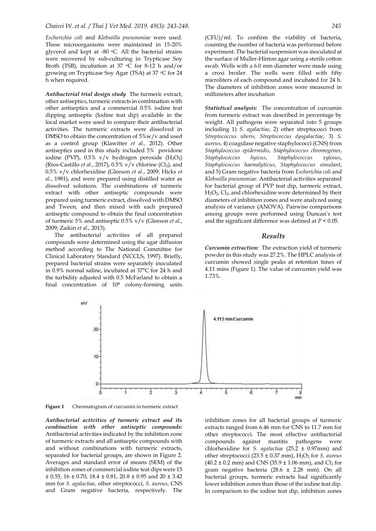*Escherichia coli* and *Klebseilla pneumoniae* were used. These microorganisms were maintained in 15-20% glycerol and kept at -80 °C. All the bacterial strains were recovered by sub-culturing in Trypticase Soy Broth (TSB), incubation at 37  $\circ$ C for 8-12 h and/or growing on Trypticase Soy Agar (TSA) at 37 oC for 24 h when required.

*Antibacterial trial design study*The turmeric extract, other antiseptics, turmeric extracts in combination with other antiseptics and a commercial 0.5% iodine teat dipping antiseptic (Iodine teat dip) available in the local market were used to compare their antibacterial activities. The turmeric extracts were dissolved in DMSO to obtain the concentration of  $5\%$ w/v and used as a control group (Klawitter *et al.,* 2012). Other antiseptics used in this study included 5% povidone iodine (PVP),  $0.5\%$  v/v hydrogen peroxide (H<sub>2</sub>O<sub>2</sub>) (Rios-Castillo *et al.*, 2017),  $0.5\%$  v/v chlorine (Cl<sub>2</sub>), and 0.5% v/v chlorhexidine (Gleeson *et al.*, 2009; Hicks *et al.*, 1981), and were prepared using distilled water as dissolved solutions. The combinations of turmeric extract with other antiseptic compounds were prepared using turmeric extract, dissolved with DMSO and Tween, and then mixed with each prepared antiseptic compound to obtain the final concentration of turmeric 5% and antiseptic 0.5% v/v (Gleeson *et al.*, 2009; Zaikin *et al.*, 2013).

The antibacterial activities of all prepared compounds were determined using the agar diffusion method according to The National Committee for Clinical Laboratory Standard (NCCLS, 1997). Briefly, prepared bacterial strains were separately inoculated in 0.9% normal saline, incubated at 37°C for 24 h and the turbidity adjusted with 0.5 McFarland to obtain a final concentration of 10<sup>8</sup> colony-forming units

counting the number of bacteria was performed before experiment. The bacterial suspension was inoculated at the surface of Muller-Hinton agar using a sterile cotton swab. Wells with a 6.0 mm diameter were made using a croxi broiler. The wells were filled with fifty microliters of each compound and incubated for 24 h. The diameters of inhibition zones were measured in millimeters after incubation

*Statistical analysis:*The concentration of curcumin from turmeric extract was described in percentage by weight. All pathogens were separated into 5 groups including 1) *S. agalactiae*, 2) other streptococci from *Streptococcus uberis, Streptococcus dysgalactiae*, 3) *S. aureus*, 4) coagulase negative staphylococci (CNS) from *Staphylococcus epidermidis*, *Staphylococcus chromogenes*, *Staphylococcus hyicus*, *Staphylococcus xylosus*, *Staphylococcus haemalyticus*, *Staphylococcus simulant*, and 5) Gram negative bacteria from *Escherichia coli* and *Klebseilla pneumoniae.* Antibacterial activities separated for bacterial group of PVP teat dip, turmeric extract,  $H_2O_2$ ,  $Cl_2$ , and chlorhexidine were determined by their diameters of inhibition zones and were analyzed using analysis of variance (ANOVA). Pairwise comparisons among groups were performed using Duncan's test and the significant difference was defined at *P* < 0.05.

#### *Results*

*Curcumin extraction:*The extraction yield of turmeric powder in this study was 27.2%. The HPLC analysis of curcumin showed single peaks at retention times of 4.11 mins (Figure 1). The value of curcumin yield was 1.73%.



**Figure 1** Chromatogram of curcumin in turmeric extract

*Antibacterial activities of turmeric extract and its combination with other antiseptic compounds:* Antibacterial activities indicated by the inhibition zone of turmeric extracts and all antiseptic compounds with and without combinations with turmeric extracts, separated for bacterial groups, are shown in Figure 2. Averages and standard error of means (SEM) of the inhibition zones of commercial iodine teat dips were 15  $\pm$  0.55, 16  $\pm$  0.70, 18.4  $\pm$  0.81, 20.8  $\pm$  0.95 and 20  $\pm$  3.42 mm for *S. agalactiae*, other streptococci, *S. aureus*, CNS and Gram negative bacteria, respectively. The inhibition zones for all bacterial groups of turmeric extracts ranged from 6.46 mm for CNS to 11.7 mm for other streptococci. The most effective antibacterial compounds against mastitis pathogens were chlorhexidine for *S. agalactiae* (25.2 ± 0.97mm) and other streptococci ( $23.5 \pm 0.37$  mm),  $H_2O_2$  for *S. aureus*  $(40.2 \pm 0.2 \text{ mm})$  and CNS  $(35.9 \pm 1.06 \text{ mm})$ , and Cl<sub>2</sub> for gram negative bacteria (28.6 ± 2.28 mm). On all bacterial groups, turmeric extracts had significantly lower inhibition zones than those of the iodine teat dip. In comparison to the iodine teat dip, inhibition zones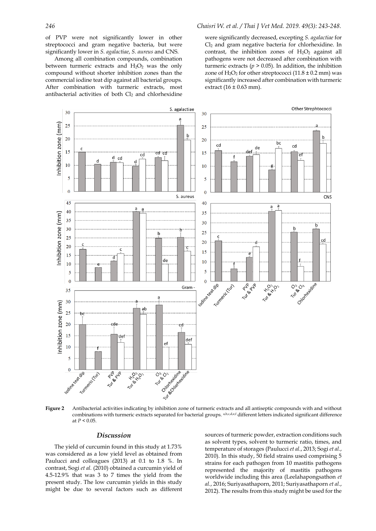of PVP were not significantly lower in other streptococci and gram negative bacteria, but were significantly lower in *S. agalactiae*, *S. aureus* and CNS.

Among all combination compounds, combination between turmeric extracts and  $H_2O_2$  was the only compound without shorter inhibition zones than the commercial iodine teat dip against all bacterial groups. After combination with turmeric extracts, most antibacterial activities of both  $Cl<sub>2</sub>$  and chlorhexidine

#### *246 Chaisri W. et al. / Thai J Vet Med. 2019. 49(3): 243-248.*

were significantly decreased, excepting *S. agalactiae* for Cl<sup>2</sup> and gram negative bacteria for chlorhexidine. In contrast, the inhibition zones of  $H_2O_2$  against all pathogens were not decreased after combination with turmeric extracts ( $p > 0.05$ ). In addition, the inhibition zone of  $H_2O_2$  for other streptococci (11.8  $\pm$  0.2 mm) was significantly increased after combination with turmeric extract  $(16 \pm 0.63$  mm).



**Figure 2** Antibacterial activities indicating by inhibition zone of turmeric extracts and all antiseptic compounds with and without combinations with turmeric extracts separated for bacterial groups. a,b,c,d,e,f different letters indicated significant difference at *P* < 0.05.

#### *Discussion*

The yield of curcumin found in this study at 1.73% was considered as a low yield level as obtained from Paulucci and colleagues (2013) at 0.1 to 1.8 %. In contrast, Sogi *et al.* (2010) obtained a curcumin yield of 4.5-12.9% that was 3 to 7 times the yield from the present study. The low curcumin yields in this study might be due to several factors such as different

sources of turmeric powder, extraction conditions such as solvent types, solvent to turmeric ratio, times, and temperature of storages (Paulucci *et al.*, 2013; Sogi *et al.*, 2010). In this study, 50 field strains used comprising 5 strains for each pathogen from 10 mastitis pathogens represented the majority of mastitis pathogens worldwide including this area (Leelahapongsathon *et al.*, 2016; Suriyasathaporn, 2011; Suriyasathaporn *et al.*, 2012). The results from this study might be used for the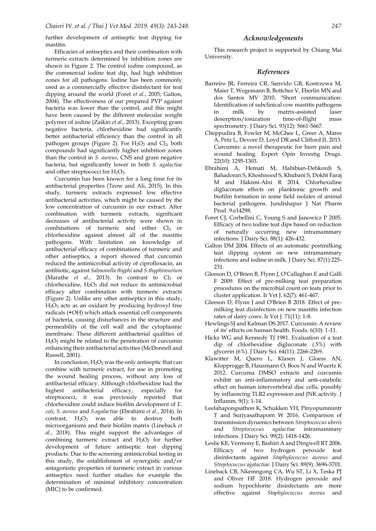further development of antiseptic teat dipping for mastitis.

Efficacies of antiseptics and their combination with turmeric extracts determined by inhibition zones are shown in Figure 2. The control iodine compound, as the commercial iodine teat dip, had high inhibition zones for all pathogens. Iodine has been commonly used as a commercially effective disinfectant for teat dipping around the world (Foret *et al.*, 2005; Galton, 2004). The effectiveness of our prepared PVP against bacteria was lower than the control, and this might have been caused by the different molecular weight polymer of iodine (Zaikin *et al.*, 2013). Excepting gram negative bacteria, chlorhexidine had significantly better antibacterial efficiency than the control in all pathogen groups (Figure 2). For  $H_2O_2$  and Cl<sub>2</sub>, both compounds had significantly higher inhibition zones than the control in *S. aureus*, CNS and gram negative bacteria, but significantly lower in both *S. agalactiae* and other streptococci for  $H_2O_2$ .

Curcumin has been known for a long time for its antibacterial properties (Teow and Ali, 2015). In this study, turmeric extracts expressed low effective antibacterial activities, which might be caused by the low concentration of curcumin in our extract. After combination with turmeric extracts, significant decreases of antibacterial activity were shown in combinations of turmeric and either  $Cl<sub>2</sub>$  or chlorhexidine against almost all of the mastitis pathogens. With limitation on knowledge of antibacterial efficacy of combinations of turmeric and other antiseptics, a report showed that curcumin reduced the antimicrobial activity of ciprofloxacin, an antibiotic, against *Salmonella thyphi* and *S.thyphimurium* (Marathe *et al.*, 2013). In contrast to  $Cl<sub>2</sub>$  or chlorhexidine,  $H_2O_2$  did not reduce its antimicrobial efficacy after combination with turmeric extracts (Figure 2). Unlike any other antiseptics in this study,  $H<sub>2</sub>O<sub>2</sub>$  acts as an oxidant by producing hydroxyl free radicals (•OH) which attack essential cell components of bacteria, causing disturbances in the structure and permeability of the cell wall and the cytoplasmic membrane. These different antibacterial qualities of H2O<sup>2</sup> might be related to the penetration of curcumin enhancing their antibacterial activities (McDonnell and Russell, 2001).

In conclusion,  $H_2O_2$  was the only antiseptic that can combine with turmeric extract, for use in promoting the wound healing process, without any loss of antibacterial efficacy. Although chlorhexidine had the highest antibacterial efficacy, especially for streptococci, it was previously reported that chlorhexidine could induce biofilm development of *E. coli*, *S. aureus* and *S.agalactiae* (Ebrahimi *et al.*, 2014). In contrast,  $H_2O_2$  was able to destroy both microorganisms and their biofilm matrix (Lineback *et al.*, 2018). This might support the advantages of combining turmeric extract and  $H_2O_2$  for further development of future antiseptic teat dipping products. Due to the screening antimicrobial testing in this study, the establishment of synergistic and/or antagonistic properties of turmeric extract in various antiseptics need further studies for example the determination of minimal inhibitory concentration (MIC) to be confirmed.

## *Acknowledgements*

This research project is supported by Chiang Mai University.

#### *References*

- Barreiro JR, Ferreira CR, Sanvido GB, Kostrzewa M, Maier T, Wegemann B, Bottcher V, Eberlin MN and dos Santos MV 2010. "Short communication: Identification of subclinical cow mastitis pathogens in milk by matrix-assisted laser desorption/ionization time-of-flight mass spectrometry. J Dairy Sci. 93(12): 5661-5667.
- Cheppudira B, Fowler M, McGhee L, Greer A, Mares A, Petz L, Devore D, Loyd DR and Clifford JL 2013. Curcumin: a novel therapeutic for burn pain and wound healing. Expert Opin Investig Drugs. 22(10): 1295-1303.
- Ebrahimi A, Hemati M, Habibian-Dehkordi S, Bahadoran S, Khoshnood S, Khubani S, Dokht Faraj M and Hakimi-Alni R 2014. Chlorhexidine digluconate effects on planktonic growth and biofilm formation in some field isolates of animal bacterial pathogens. Jundishapur J Nat Pharm Prod. 9:e14298.
- Foret CJ, Corbellini C, Young S and Janowicz P 2005. Efficacy of two iodine teat dips based on reduction of naturally occurring new intramammary infections. J Dairy Sci. 88(1): 426-432.
- Galton DM 2004. Effects of an automatic postmilking teat dipping system on new intramammary infections and iodine in milk. J Dairy Sci. 87(1):225- 231.
- Gleeson D, O'Brien B, Flynn J, O'Callaghan E and Galli F 2009. Effect of pre-milking teat preparation procedures on the microbial count on teats prior to cluster application. Ir Vet J. 62(7): 461-467.
- Gleeson D, Flynn J and O'Brien B 2018. Effect of premilking teat disinfection on new mastitis infection rates of dairy cows. Ir Vet J. 71(11): 1-8.
- Hewlings SJ and Kalman DS 2017. Curcumin: A review of its' effects on human health. Foods. 6(10): 1-11.
- Hicks WG and Kennedy TJ 1981. Evaluation of a teat dip of chlorhexidine digluconate (.5%) with glycerin (6%). J Dairy Sci. 64(11): 2266-2269.
- Klawitter M, Quero L, Klasen J, Gloess AN, Klopprogge B, Hausmann O, Boos N and Wuertz K 2012. Curcuma DMSO extracts and curcumin exhibit an anti-inflammatory and anti-catabolic effect on human intervertebral disc cells, possibly by influencing TLR2 expression and JNK activity. J Inflamm. 9(1): 1-14.
- Leelahapongsathon K, Schukken YH, Pinyopummintr T and Suriyasathaporn W 2016. Comparison of transmission dynamics between *Streptococcus uberis* and *Streptococcus agalactiae* intramammary infections. J Dairy Sci. 99(2): 1418-1426.
- Leslie KE, Vermony E, Bashiri A and Dingwell RT 2006. Efficacy of two hydrogen peroxide teat disinfectants against *Staphylococcus aureus* and *Streptococcus agalactiae*. J Dairy Sci. 89(9): 3696-3701.
- Lineback CB, Nkemngong CA, Wu ST, Li X, Teska PJ and Oliver HF 2018. Hydrogen peroxide and sodium hypochlorite disinfectants are more effective against *Staphylococcus aureus* and